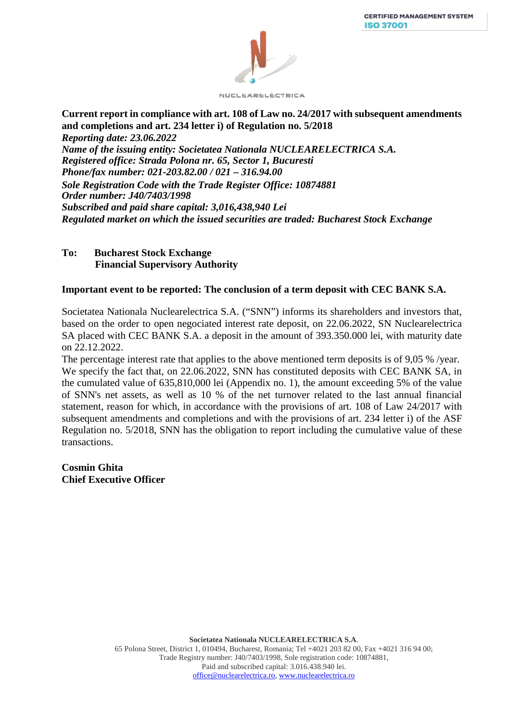

**Current report in compliance with art. 108 of Law no. 24/2017 with subsequent amendments and completions and art. 234 letter i) of Regulation no. 5/2018**  *Reporting date: 23.06.2022 Name of the issuing entity: Societatea Nationala NUCLEARELECTRICA S.A. Registered office: Strada Polona nr. 65, Sector 1, Bucuresti Phone/fax number: 021-203.82.00 / 021 – 316.94.00 Sole Registration Code with the Trade Register Office: 10874881 Order number: J40/7403/1998 Subscribed and paid share capital: 3,016,438,940 Lei Regulated market on which the issued securities are traded: Bucharest Stock Exchange*

## **To: Bucharest Stock Exchange Financial Supervisory Authority**

## **Important event to be reported: The conclusion of a term deposit with CEC BANK S.A.**

Societatea Nationala Nuclearelectrica S.A. ("SNN") informs its shareholders and investors that, based on the order to open negociated interest rate deposit, on 22.06.2022, SN Nuclearelectrica SA placed with CEC BANK S.A. a deposit in the amount of 393.350.000 lei, with maturity date on 22.12.2022.

The percentage interest rate that applies to the above mentioned term deposits is of 9,05 % /year. We specify the fact that, on 22.06.2022, SNN has constituted deposits with CEC BANK SA, in the cumulated value of 635,810,000 lei (Appendix no. 1), the amount exceeding 5% of the value of SNN's net assets, as well as 10 % of the net turnover related to the last annual financial statement, reason for which, in accordance with the provisions of art. 108 of Law 24/2017 with subsequent amendments and completions and with the provisions of art. 234 letter i) of the ASF Regulation no. 5/2018, SNN has the obligation to report including the cumulative value of these transactions.

**Cosmin Ghita Chief Executive Officer**